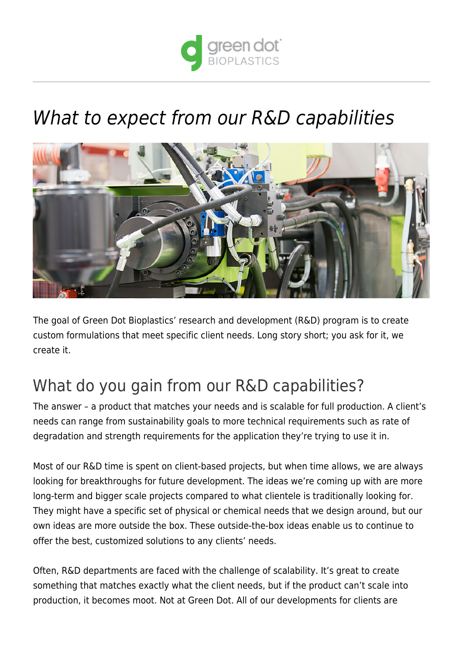

# [What to expect from our R&D capabilities](https://www.greendotbioplastics.com/expect-rd-capabilities/)



The goal of Green Dot Bioplastics' research and development (R&D) program is to create custom formulations that meet specific client needs. Long story short; you ask for it, we create it.

## What do you gain from our R&D capabilities?

The answer – a product that matches your needs and is scalable for full production. A client's needs can range from [sustainability goals](https://www.greendotbioplastics.com/why-sustainable-plastics/) to more technical requirements such as rate of degradation and strength requirements for the application they're trying to use it in.

Most of our R&D time is spent on client-based projects, but when time allows, we are always looking for breakthroughs for future development. The ideas we're coming up with are more long-term and bigger scale projects compared to what clientele is traditionally looking for. They might have a specific set of physical or chemical needs that we design around, but our own ideas are more outside the box. These outside-the-box ideas enable us to continue to offer the best, customized solutions to any clients' needs.

Often, R&D departments are faced with the challenge of scalability. It's great to create something that matches exactly what the client needs, but if the product can't scale into production, it becomes moot. Not at Green Dot. All of our developments for clients are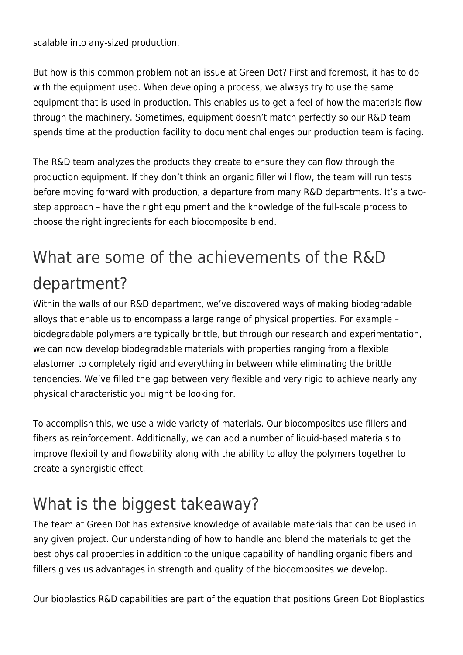scalable into any-sized production.

But how is this common problem not an issue at Green Dot? First and foremost, it has to do with the equipment used. When developing a process, we always try to use the same equipment that is used in production. This enables us to get a feel of how the materials flow through the machinery. Sometimes, equipment doesn't match perfectly so our R&D team spends time at the production facility to document challenges our production team is facing.

The R&D team analyzes the products they create to ensure they can flow through the production equipment. If they don't think an organic filler will flow, the team will run tests before moving forward with production, a departure from many R&D departments. It's a twostep approach – have the right equipment and the knowledge of the full-scale process to choose the right ingredients for each [biocomposite blend](https://www.greendotbioplastics.com/pdf/GDT-bio-vs-traditional.pdf).

## What are some of the achievements of the R&D department?

Within the walls of our R&D department, we've discovered ways of making biodegradable alloys that enable us to encompass a large range of physical properties. For example – biodegradable polymers are typically brittle, but through our research and experimentation, we can now develop biodegradable materials with properties ranging from a flexible elastomer to completely rigid and everything in between while eliminating the brittle tendencies. We've filled the gap between very flexible and very rigid to achieve nearly any physical characteristic you might be looking for.

To accomplish this, we use a wide variety of materials. Our biocomposites use fillers and fibers as reinforcement. Additionally, we can add a number of liquid-based materials to improve flexibility and flowability along with the ability to alloy the polymers together to create a synergistic effect.

## What is the biggest takeaway?

The team at Green Dot has extensive knowledge of available materials that can be used in any given project. Our understanding of how to handle and blend the materials to get the best physical properties in addition to the unique capability of handling organic fibers and fillers gives us advantages in strength and quality of the biocomposites we develop.

Our bioplastics R&D capabilities are part of the equation that positions Green Dot Bioplastics